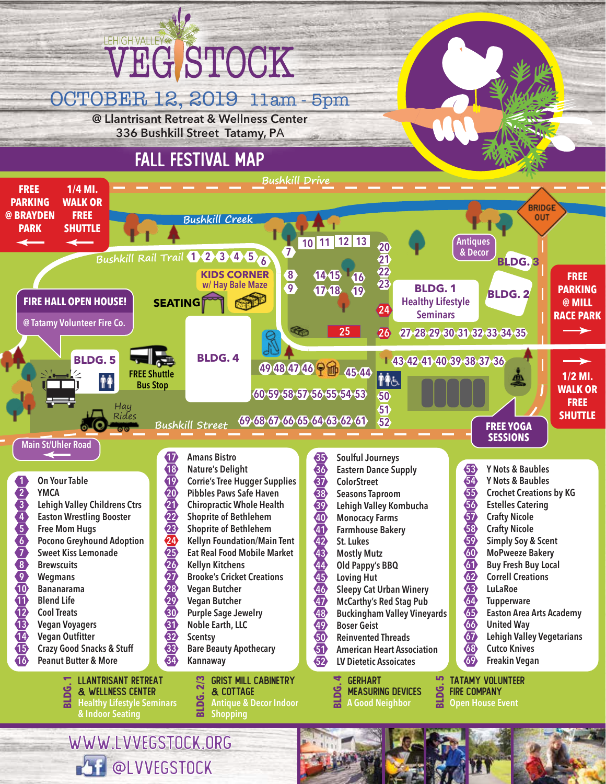